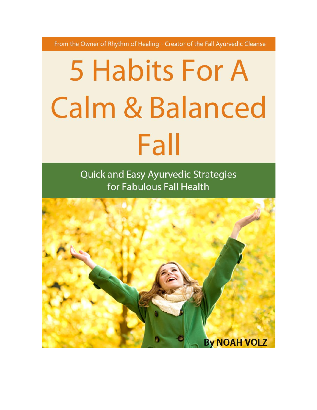From the Owner of Rhythm of Healing - Creator of the Fall Ayurvedic Cleanse

# 5 Habits For A **Calm & Balanced** Fall

Quick and Easy Ayurvedic Strategies for Fabulous Fall Health

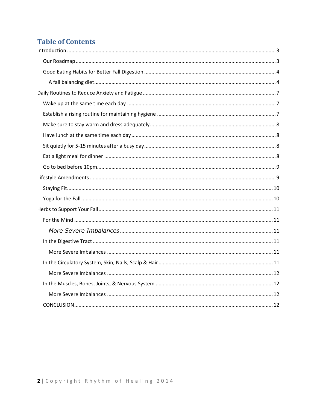#### **Table of Contents**

<span id="page-1-0"></span>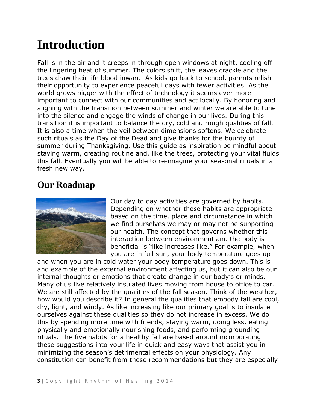# **Introduction**

Fall is in the air and it creeps in through open windows at night, cooling off the lingering heat of summer. The colors shift, the leaves crackle and the trees draw their life blood inward. As kids go back to school, parents relish their opportunity to experience peaceful days with fewer activities. As the world grows bigger with the effect of technology it seems ever more important to connect with our communities and act locally. By honoring and aligning with the transition between summer and winter we are able to tune into the silence and engage the winds of change in our lives. During this transition it is important to balance the dry, cold and rough qualities of fall. It is also a time when the veil between dimensions softens. We celebrate such rituals as the Day of the Dead and give thanks for the bounty of summer during Thanksgiving. Use this guide as inspiration be mindful about staying warm, creating routine and, like the trees, protecting your vital fluids this fall. Eventually you will be able to re-imagine your seasonal rituals in a fresh new way.

## <span id="page-2-0"></span>**Our Roadmap**



Our day to day activities are governed by habits. Depending on whether these habits are appropriate based on the time, place and circumstance in which we find ourselves we may or may not be supporting our health. The concept that governs whether this interaction between environment and the body is beneficial is "like increases like." For example, when you are in full sun, your body temperature goes up

and when you are in cold water your body temperature goes down. This is and example of the external environment affecting us, but it can also be our internal thoughts or emotions that create change in our body's or minds. Many of us live relatively insulated lives moving from house to office to car. We are still affected by the qualities of the fall season. Think of the weather, how would you describe it? In general the qualities that embody fall are cool, dry, light, and windy. As like increasing like our primary goal is to insulate ourselves against these qualities so they do not increase in excess. We do this by spending more time with friends, staying warm, doing less, eating physically and emotionally nourishing foods, and performing grounding rituals. The five habits for a healthy fall are based around incorporating these suggestions into your life in quick and easy ways that assist you in minimizing the season's detrimental effects on your physiology. Any constitution can benefit from these recommendations but they are especially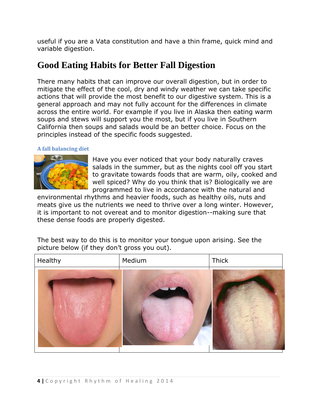useful if you are a Vata constitution and have a thin frame, quick mind and variable digestion.

## <span id="page-3-0"></span>**Good Eating Habits for Better Fall Digestion**

There many habits that can improve our overall digestion, but in order to mitigate the effect of the cool, dry and windy weather we can take specific actions that will provide the most benefit to our digestive system. This is a general approach and may not fully account for the differences in climate across the entire world. For example if you live in Alaska then eating warm soups and stews will support you the most, but if you live in Southern California then soups and salads would be an better choice. Focus on the principles instead of the specific foods suggested.

#### <span id="page-3-1"></span>**A fall balancing diet**



Have you ever noticed that your body naturally craves salads in the summer, but as the nights cool off you start to gravitate towards foods that are warm, oily, cooked and well spiced? Why do you think that is? Biologically we are programmed to live in accordance with the natural and

environmental rhythms and heavier foods, such as healthy oils, nuts and meats give us the nutrients we need to thrive over a long winter. However, it is important to not overeat and to monitor digestion--making sure that these dense foods are properly digested.

The best way to do this is to monitor your tongue upon arising. See the picture below (if they don't gross you out).

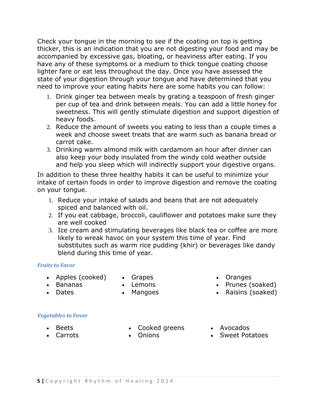Check your tongue in the morning to see if the coating on top is getting thicker, this is an indication that you are not digesting your food and may be accompanied by excessive gas, bloating, or heaviness after eating. If you have any of these symptoms or a medium to thick tongue coating choose lighter fare or eat less throughout the day. Once you have assessed the state of your digestion through your tongue and have determined that you need to improve your eating habits here are some habits you can follow:

- 1. Drink ginger tea between meals by grating a teaspoon of fresh ginger per cup of tea and drink between meals. You can add a little honey for sweetness. This will gently stimulate digestion and support digestion of heavy foods.
- 2. Reduce the amount of sweets you eating to less than a couple times a week and choose sweet treats that are warm such as banana bread or carrot cake.
- 3. Drinking warm almond milk with cardamom an hour after dinner can also keep your body insulated from the windy cold weather outside and help you sleep which will indirectly support your digestive organs.

In addition to these three healthy habits it can be useful to minimize your intake of certain foods in order to improve digestion and remove the coating on your tongue.

- 1. Reduce your intake of salads and beans that are not adequately spiced and balanced with oil.
- 2. If you eat cabbage, broccoli, cauliflower and potatoes make sure they are well cooked
- 3. Ice cream and stimulating beverages like black tea or coffee are more likely to wreak havoc on your system this time of year. Find substitutes such as warm rice pudding (khir) or beverages like dandy blend during this time of year.

#### *Fruits to Favor*

- Apples (cooked)
- Grapes
- Bananas

Dates

- Lemons
- 
- Mangoes
- Oranges
- Prunes (soaked)
- Raisins (soaked)

#### *Vegetables to Favor*

- Beets
- Carrots
- Cooked greens
- Onions
- Avocados
- Sweet Potatoes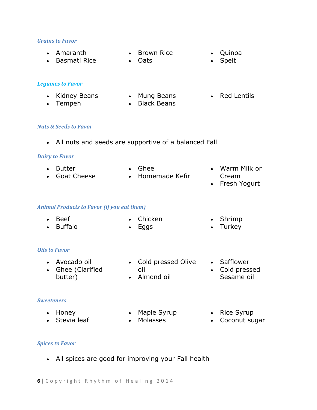#### *Grains to Favor*

- Amaranth
- Brown Rice

Oats

- Quinoa
	- Spelt

#### *Legumes to Favor*

• Kidney Beans

• Basmati Rice

- Tempeh
- Mung Beans
- Black Beans
- Red Lentils

#### *Nuts & Seeds to Favor*

All nuts and seeds are supportive of a balanced Fall

#### *Dairy to Favor*

- Butter
- Goat Cheese
- Ghee
- Homemade Kefir
- Warm Milk or Cream
- Fresh Yogurt

#### *Animal Products to Favor (if you eat them)*

- Beef
- Buffalo

• Chicken Eggs

- Shrimp
- Turkey

#### *Oils to Favor*

- Avocado oil
- Ghee (Clarified butter)
- Cold pressed Olive oil
- Almond oil
- Safflower
- Cold pressed Sesame oil

#### *Sweeteners*

• Honey

- Maple Syrup
- Stevia leaf
- 
- Molasses
- Rice Syrup
- Coconut sugar

#### *Spices to Favor*

All spices are good for improving your Fall health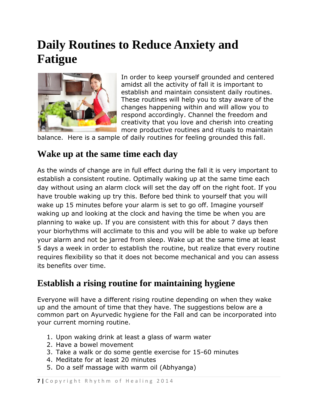# <span id="page-6-0"></span>**Daily Routines to Reduce Anxiety and Fatigue**



In order to keep yourself grounded and centered amidst all the activity of fall it is important to establish and maintain consistent daily routines. These routines will help you to stay aware of the changes happening within and will allow you to respond accordingly. Channel the freedom and creativity that you love and cherish into creating more productive routines and rituals to maintain

balance. Here is a sample of daily routines for feeling grounded this fall.

## <span id="page-6-1"></span>**Wake up at the same time each day**

As the winds of change are in full effect during the fall it is very important to establish a consistent routine. Optimally waking up at the same time each day without using an alarm clock will set the day off on the right foot. If you have trouble waking up try this. Before bed think to yourself that you will wake up 15 minutes before your alarm is set to go off. Imagine yourself waking up and looking at the clock and having the time be when you are planning to wake up. If you are consistent with this for about 7 days then your biorhythms will acclimate to this and you will be able to wake up before your alarm and not be jarred from sleep. Wake up at the same time at least 5 days a week in order to establish the routine, but realize that every routine requires flexibility so that it does not become mechanical and you can assess its benefits over time.

## <span id="page-6-2"></span>**Establish a rising routine for maintaining hygiene**

Everyone will have a different rising routine depending on when they wake up and the amount of time that they have. The suggestions below are a common part on Ayurvedic hygiene for the Fall and can be incorporated into your current morning routine.

- 1. Upon waking drink at least a glass of warm water
- 2. Have a bowel movement
- 3. Take a walk or do some gentle exercise for 15-60 minutes
- 4. Meditate for at least 20 minutes
- 5. Do a self massage with warm oil (Abhyanga)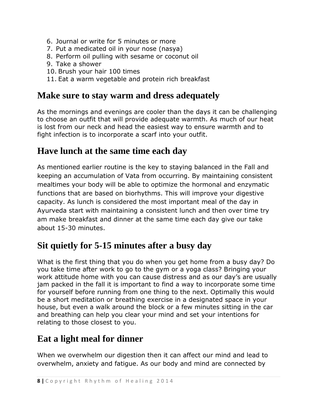- 6. Journal or write for 5 minutes or more
- 7. Put a medicated oil in your nose (nasya)
- 8. Perform oil pulling with sesame or coconut oil
- 9. Take a shower
- 10. Brush your hair 100 times
- 11. Eat a warm vegetable and protein rich breakfast

## <span id="page-7-0"></span>**Make sure to stay warm and dress adequately**

As the mornings and evenings are cooler than the days it can be challenging to choose an outfit that will provide adequate warmth. As much of our heat is lost from our neck and head the easiest way to ensure warmth and to fight infection is to incorporate a scarf into your outfit.

## <span id="page-7-1"></span>**Have lunch at the same time each day**

As mentioned earlier routine is the key to staying balanced in the Fall and keeping an accumulation of Vata from occurring. By maintaining consistent mealtimes your body will be able to optimize the hormonal and enzymatic functions that are based on biorhythms. This will improve your digestive capacity. As lunch is considered the most important meal of the day in Ayurveda start with maintaining a consistent lunch and then over time try am make breakfast and dinner at the same time each day give our take about 15-30 minutes.

## <span id="page-7-2"></span>**Sit quietly for 5-15 minutes after a busy day**

What is the first thing that you do when you get home from a busy day? Do you take time after work to go to the gym or a yoga class? Bringing your work attitude home with you can cause distress and as our day's are usually jam packed in the fall it is important to find a way to incorporate some time for yourself before running from one thing to the next. Optimally this would be a short meditation or breathing exercise in a designated space in your house, but even a walk around the block or a few minutes sitting in the car and breathing can help you clear your mind and set your intentions for relating to those closest to you.

## <span id="page-7-3"></span>**Eat a light meal for dinner**

When we overwhelm our digestion then it can affect our mind and lead to overwhelm, anxiety and fatigue. As our body and mind are connected by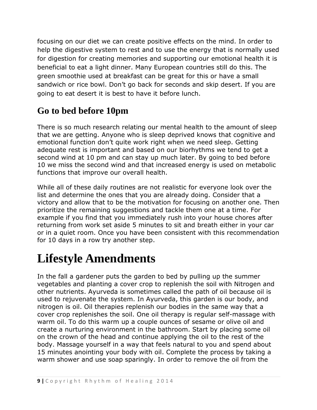focusing on our diet we can create positive effects on the mind. In order to help the digestive system to rest and to use the energy that is normally used for digestion for creating memories and supporting our emotional health it is beneficial to eat a light dinner. Many European countries still do this. The green smoothie used at breakfast can be great for this or have a small sandwich or rice bowl. Don't go back for seconds and skip desert. If you are going to eat desert it is best to have it before lunch.

## <span id="page-8-0"></span>**Go to bed before 10pm**

There is so much research relating our mental health to the amount of sleep that we are getting. Anyone who is sleep deprived knows that cognitive and emotional function don't quite work right when we need sleep. Getting adequate rest is important and based on our biorhythms we tend to get a second wind at 10 pm and can stay up much later. By going to bed before 10 we miss the second wind and that increased energy is used on metabolic functions that improve our overall health.

While all of these daily routines are not realistic for everyone look over the list and determine the ones that you are already doing. Consider that a victory and allow that to be the motivation for focusing on another one. Then prioritize the remaining suggestions and tackle them one at a time. For example if you find that you immediately rush into your house chores after returning from work set aside 5 minutes to sit and breath either in your car or in a quiet room. Once you have been consistent with this recommendation for 10 days in a row try another step.

# <span id="page-8-1"></span>**Lifestyle Amendments**

In the fall a gardener puts the garden to bed by pulling up the summer vegetables and planting a cover crop to replenish the soil with Nitrogen and other nutrients. Ayurveda is sometimes called the path of oil because oil is used to rejuvenate the system. In Ayurveda, this garden is our body, and nitrogen is oil. Oil therapies replenish our bodies in the same way that a cover crop replenishes the soil. One oil therapy is regular self-massage with warm oil. To do this warm up a couple ounces of sesame or olive oil and create a nurturing environment in the bathroom. Start by placing some oil on the crown of the head and continue applying the oil to the rest of the body. Massage yourself in a way that feels natural to you and spend about 15 minutes anointing your body with oil. Complete the process by taking a warm shower and use soap sparingly. In order to remove the oil from the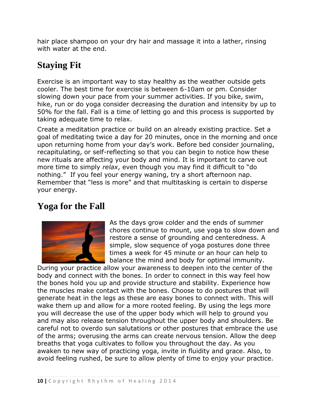hair place shampoo on your dry hair and massage it into a lather, rinsing with water at the end.

## <span id="page-9-0"></span>**Staying Fit**

Exercise is an important way to stay healthy as the weather outside gets cooler. The best time for exercise is between 6-10am or pm. Consider slowing down your pace from your summer activities. If you bike, swim, hike, run or do yoga consider decreasing the duration and intensity by up to 50% for the fall. Fall is a time of letting go and this process is supported by taking adequate time to relax.

Create a meditation practice or build on an already existing practice. Set a goal of meditating twice a day for 20 minutes, once in the morning and once upon returning home from your day's work. Before bed consider journaling, recapitulating, or self-reflecting so that you can begin to notice how these new rituals are affecting your body and mind. It is important to carve out more time to simply *relax*, even though you may find it difficult to "do nothing." If you feel your energy waning, try a short afternoon nap. Remember that "less is more" and that multitasking is certain to disperse your energy.

### <span id="page-9-1"></span>**Yoga for the Fall**



As the days grow colder and the ends of summer chores continue to mount, use yoga to slow down and restore a sense of grounding and centeredness. A simple, slow sequence of yoga postures done three times a week for 45 minute or an hour can help to balance the mind and body for optimal immunity.

During your practice allow your awareness to deepen into the center of the body and connect with the bones. In order to connect in this way feel how the bones hold you up and provide structure and stability. Experience how the muscles make contact with the bones. Choose to do postures that will generate heat in the legs as these are easy bones to connect with. This will wake them up and allow for a more rooted feeling. By using the legs more you will decrease the use of the upper body which will help to ground you and may also release tension throughout the upper body and shoulders. Be careful not to overdo sun salutations or other postures that embrace the use of the arms; overusing the arms can create nervous tension. Allow the deep breaths that yoga cultivates to follow you throughout the day. As you awaken to new way of practicing yoga, invite in fluidity and grace. Also, to avoid feeling rushed, be sure to allow plenty of time to enjoy your practice.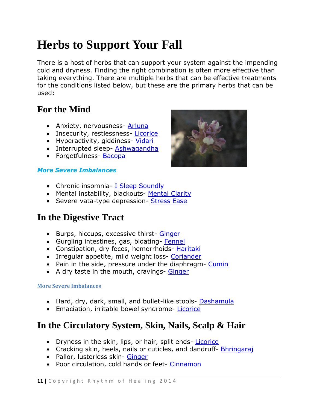# <span id="page-10-0"></span>**Herbs to Support Your Fall**

There is a host of herbs that can support your system against the impending cold and dryness. Finding the right combination is often more effective than taking everything. There are multiple herbs that can be effective treatments for the conditions listed below, but these are the primary herbs that can be used:

## <span id="page-10-1"></span>**For the Mind**

- Anxiety, nervousness- [Arjuna](http://www.banyanbotanicals.com/prodinfo.asp?number=6833)
- Insecurity, restlessness- [Licorice](http://www.banyanbotanicals.com/prodinfo.asp?number=6513)
- Hyperactivity, giddiness-[Vidari](http://www.banyanbotanicals.com/prodinfo.asp?number=6993)
- Interrupted sleep- [Ashwagandha](http://www.banyanbotanicals.com/prodinfo.asp?number=6083)
- Forgetfulness- [Bacopa](http://www.banyanbotanicals.com/prodinfo.asp?number=6413)

#### <span id="page-10-2"></span>*More Severe Imbalances*



- Chronic insomnia- [I Sleep Soundly](http://www.banyanbotanicals.com/prodinfo.asp?number=1271)
- Mental instability, blackouts- [Mental Clarity](http://www.banyanbotanicals.com/prodinfo.asp?number=1091)
- Severe vata-type depression- [Stress Ease](http://www.banyanbotanicals.com/prodinfo.asp?number=1111)

## <span id="page-10-3"></span>**In the Digestive Tract**

- Burps, hiccups, excessive thirst- [Ginger](http://www.banyanbotanicals.com/prodinfo.asp?number=6343)
- Gurgling intestines, gas, bloating-[Fennel](http://www.banyanbotanicals.com/prodinfo.asp?number=6313)
- Constipation, dry feces, hemorrhoids- [Haritaki](http://www.banyanbotanicals.com/prodinfo.asp?number=6903)
- Irregular appetite, mild weight loss- [Coriander](http://www.banyanbotanicals.com/prodinfo.asp?number=6233)
- Pain in the side, pressure under the diaphragm- [Cumin](http://www.banyanbotanicals.com/prodinfo.asp?number=6253)
- A dry taste in the mouth, cravings- [Ginger](http://www.banyanbotanicals.com/prodinfo.asp?number=6343)

#### <span id="page-10-4"></span>**More Severe Imbalances**

- Hard, dry, dark, small, and bullet-like stools- [Dashamula](http://www.banyanbotanicals.com/prodinfo.asp?number=7553)
- Emaciation, irritable bowel syndrome- [Licorice](http://www.banyanbotanicals.com/prodinfo.asp?number=6513)

## <span id="page-10-5"></span>**In the Circulatory System, Skin, Nails, Scalp & Hair**

- Dryness in the skin, lips, or hair, split ends-[Licorice](http://www.banyanbotanicals.com/prodinfo.asp?number=6513)
- Cracking skin, heels, nails or cuticles, and dandruff- **[Bhringaraj](http://www.banyanbotanicals.com/prodinfo.asp?number=6133)**
- Pallor, lusterless skin- [Ginger](http://www.banyanbotanicals.com/prodinfo.asp?number=6343)
- Poor circulation, cold hands or feet- [Cinnamon](http://www.banyanbotanicals.com/prodinfo.asp?number=7463)